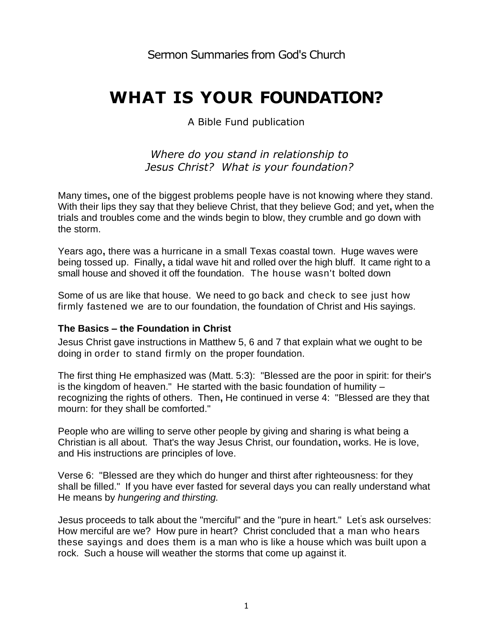# **WHAT IS YOUR FOUNDATION?**

A Bible Fund publication

## *Where do you stand in relationship to Jesus Christ? What is your foundation?*

Many times**,** one of the biggest problems people have is not knowing where they stand. With their lips they say that they believe Christ, that they believe God; and yet**,** when the trials and troubles come and the winds begin to blow, they crumble and go down with the storm.

Years ago**,** there was a hurricane in a small Texas coastal town. Huge waves were being tossed up. Finally**,** a tidal wave hit and rolled over the high bluff. It came right to a small house and shoved it off the foundation. The house wasn't bolted down

Some of us are like that house. We need to go back and check to see just how firmly fastened we are to our foundation, the foundation of Christ and His sayings.

## **The Basics – the Foundation in Christ**

Jesus Christ gave instructions in Matthew 5, 6 and 7 that explain what we ought to be doing in order to stand firmly on the proper foundation.

The first thing He emphasized was (Matt. 5:3): "Blessed are the poor in spirit: for their's is the kingdom of heaven." He started with the basic foundation of humility – recognizing the rights of others. Then**,** He continued in verse 4: "Blessed are they that mourn: for they shall be comforted."

People who are willing to serve other people by giving and sharing is what being a Christian is all about. That's the way Jesus Christ, our foundation**,** works. He is love, and His instructions are principles of love.

Verse 6: "Blessed are they which do hunger and thirst after righteousness: for they shall be filled." If you have ever fasted for several days you can really understand what He means by *hungering and thirsting.*

Jesus proceeds to talk about the "merciful" and the "pure in heart." Let's ask ourselves: How merciful are we? How pure in heart? Christ concluded that a man who hears these sayings and does them is a man who is like a house which was built upon a rock. Such a house will weather the storms that come up against it.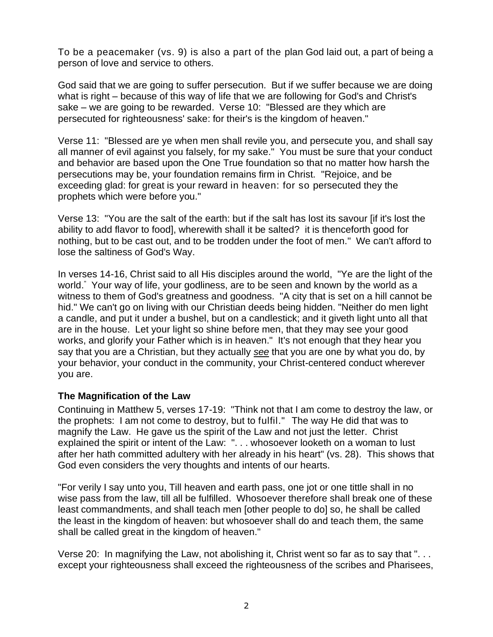To be a peacemaker (vs. 9) is also a part of the plan God laid out, a part of being a person of love and service to others.

God said that we are going to suffer persecution. But if we suffer because we are doing what is right – because of this way of life that we are following for God's and Christ's sake – we are going to be rewarded. Verse 10: "Blessed are they which are persecuted for righteousness' sake: for their's is the kingdom of heaven."

Verse 11: "Blessed are ye when men shall revile you, and persecute you, and shall say all manner of evil against you falsely, for my sake." You must be sure that your conduct and behavior are based upon the One True foundation so that no matter how harsh the persecutions may be, your foundation remains firm in Christ. "Rejoice, and be exceeding glad: for great is your reward in heaven: for so persecuted they the prophets which were before you."

Verse 13: "You are the salt of the earth: but if the salt has lost its savour [if it's lost the ability to add flavor to food], wherewith shall it be salted? it is thenceforth good for nothing, but to be cast out, and to be trodden under the foot of men." We can't afford to lose the saltiness of God's Way.

In verses 14-16, Christ said to all His disciples around the world, "Ye are the light of the world." Your way of life, your godliness, are to be seen and known by the world as a witness to them of God's greatness and goodness. "A city that is set on a hill cannot be hid." We can't go on living with our Christian deeds being hidden. "Neither do men light a candle, and put it under a bushel, but on a candlestick; and it giveth light unto all that are in the house. Let your light so shine before men, that they may see your good works, and glorify your Father which is in heaven." It's not enough that they hear you say that you are a Christian, but they actually *see* that you are one by what you do, by your behavior, your conduct in the community, your Christ-centered conduct wherever you are.

#### **The Magnification of the Law**

Continuing in Matthew 5, verses 17-19: "Think not that I am come to destroy the law, or the prophets: I am not come to destroy, but to fulfil." The way He did that was to magnify the Law. He gave us the spirit of the Law and not just the letter. Christ explained the spirit or intent of the Law: ". . . whosoever looketh on a woman to lust after her hath committed adultery with her already in his heart" (vs. 28). This shows that God even considers the very thoughts and intents of our hearts.

"For verily I say unto you, Till heaven and earth pass, one jot or one tittle shall in no wise pass from the law, till all be fulfilled. Whosoever therefore shall break one of these least commandments, and shall teach men [other people to do] so, he shall be called the least in the kingdom of heaven: but whosoever shall do and teach them, the same shall be called great in the kingdom of heaven."

Verse 20: In magnifying the Law, not abolishing it, Christ went so far as to say that ". . . except your righteousness shall exceed the righteousness of the scribes and Pharisees,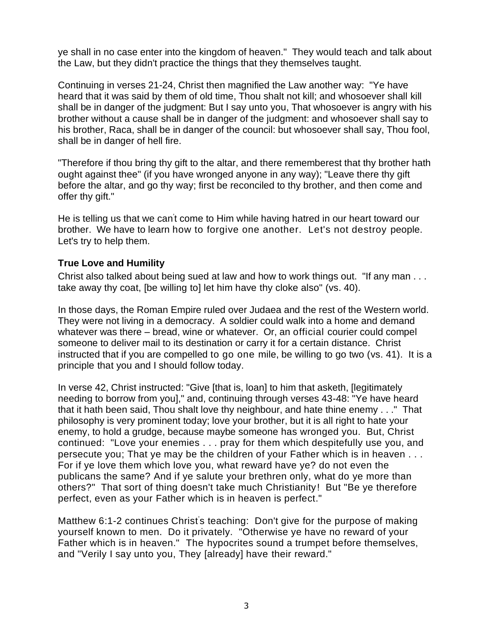ye shall in no case enter into the kingdom of heaven." They would teach and talk about the Law, but they didn't practice the things that they themselves taught.

Continuing in verses 21-24, Christ then magnified the Law another way: "Ye have heard that it was said by them of old time, Thou shalt not kill; and whosoever shall kill shall be in danger of the judgment: But I say unto you, That whosoever is angry with his brother without a cause shall be in danger of the judgment: and whosoever shall say to his brother, Raca, shall be in danger of the council: but whosoever shall say, Thou fool, shall be in danger of hell fire.

"Therefore if thou bring thy gift to the altar, and there rememberest that thy brother hath ought against thee" (if you have wronged anyone in any way); "Leave there thy gift before the altar, and go thy way; first be reconciled to thy brother, and then come and offer thy gift."

He is telling us that we can't come to Him while having hatred in our heart toward our brother. We have to learn how to forgive one another. Let's not destroy people. Let's try to help them.

#### **True Love and Humility**

Christ also talked about being sued at law and how to work things out. "If any man . . . take away thy coat, [be willing to] let him have thy cloke also" (vs. 40).

In those days, the Roman Empire ruled over Judaea and the rest of the Western world. They were not living in a democracy. A soldier could walk into a home and demand whatever was there – bread, wine or whatever. Or, an official courier could compel someone to deliver mail to its destination or carry it for a certain distance. Christ instructed that if you are compelled to go one mile, be willing to go two (vs. 41). It is a principle that you and I should follow today.

In verse 42, Christ instructed: "Give [that is, loan] to him that asketh, [legitimately needing to borrow from you]," and, continuing through verses 43-48: "Ye have heard that it hath been said, Thou shalt love thy neighbour, and hate thine enemy . . ." That philosophy is very prominent today; love your brother, but it is all right to hate your enemy, to hold a grudge, because maybe someone has wronged you. But, Christ continued: "Love your enemies . . . pray for them which despitefully use you, and persecute you; That ye may be the children of your Father which is in heaven . . . For if ye love them which love you, what reward have ye? do not even the publicans the same? And if ye salute your brethren only, what do ye more than others?" That sort of thing doesn't take much Christianity! But "Be ye therefore perfect, even as your Father which is in heaven is perfect."

Matthew 6:1-2 continues Christ's teaching: Don't give for the purpose of making yourself known to men. Do it privately. "Otherwise ye have no reward of your Father which is in heaven." The hypocrites sound a trumpet before themselves, and "Verily I say unto you, They [already] have their reward."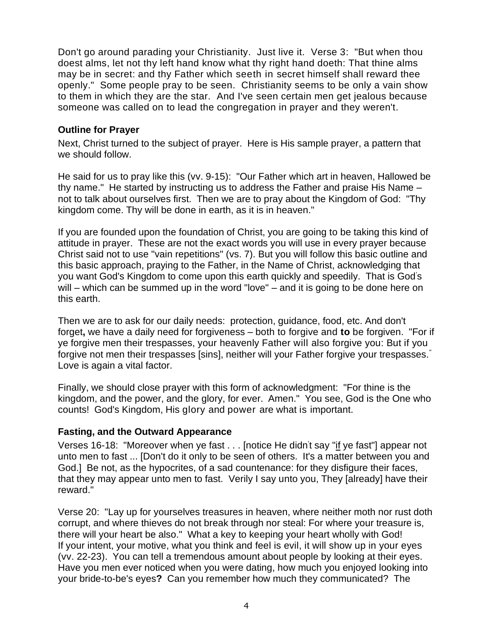Don't go around parading your Christianity. Just live it. Verse 3: "But when thou doest alms, let not thy left hand know what thy right hand doeth: That thine alms may be in secret: and thy Father which seeth in secret himself shall reward thee openly." Some people pray to be seen. Christianity seems to be only a vain show to them in which they are the star. And I've seen certain men get jealous because someone was called on to lead the congregation in prayer and they weren't.

#### **Outline for Prayer**

Next, Christ turned to the subject of prayer. Here is His sample prayer, a pattern that we should follow.

He said for us to pray like this (vv. 9-15): "Our Father which art in heaven, Hallowed be thy name." He started by instructing us to address the Father and praise His Name – not to talk about ourselves first. Then we are to pray about the Kingdom of God: "Thy kingdom come. Thy will be done in earth, as it is in heaven."

If you are founded upon the foundation of Christ, you are going to be taking this kind of attitude in prayer. These are not the exact words you will use in every prayer because Christ said not to use "vain repetitions" (vs. 7). But you will follow this basic outline and this basic approach, praying to the Father, in the Name of Christ, acknowledging that you want God's Kingdom to come upon this earth quickly and speedily. That is God's will – which can be summed up in the word "love" – and it is going to be done here on this earth.

Then we are to ask for our daily needs: protection, guidance, food, etc. And don't forget**,** we have a daily need for forgiveness – both to forgive and **to** be forgiven. "For if ye forgive men their trespasses, your heavenly Father will also forgive you: But if you forgive not men their trespasses [sins], neither will your Father forgive your trespasses." Love is again a vital factor.

Finally, we should close prayer with this form of acknowledgment: "For thine is the kingdom, and the power, and the glory, for ever. Amen." You see, God is the One who counts! God's Kingdom, His glory and power are what is important.

#### **Fasting, and the Outward Appearance**

Verses 16-18: "Moreover when ye fast . . . [notice He didn<sup>'</sup>t say "if ye fast"] appear not unto men to fast ... [Don't do it only to be seen of others. It's a matter between you and God.] Be not, as the hypocrites, of a sad countenance: for they disfigure their faces, that they may appear unto men to fast. Verily I say unto you, They [already] have their reward."

Verse 20: "Lay up for yourselves treasures in heaven, where neither moth nor rust doth corrupt, and where thieves do not break through nor steal: For where your treasure is, there will your heart be also." What a key to keeping your heart wholly with God! If your intent, your motive, what you think and feel is evil, it will show up in your eyes (vv. 22-23). You can tell a tremendous amount about people by looking at their eyes. Have you men ever noticed when you were dating, how much you enjoyed looking into your bride-to-be's eyes**?** Can you remember how much they communicated? The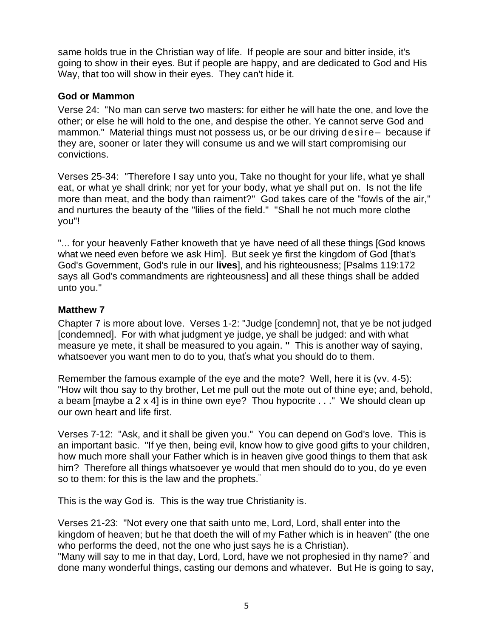same holds true in the Christian way of life. If people are sour and bitter inside, it's going to show in their eyes. But if people are happy, and are dedicated to God and His Way, that too will show in their eyes. They can't hide it.

## **God or Mammon**

Verse 24: "No man can serve two masters: for either he will hate the one, and love the other; or else he will hold to the one, and despise the other. Ye cannot serve God and mammon." Material things must not possess us, or be our driving desire– because if they are, sooner or later they will consume us and we will start compromising our convictions.

Verses 25-34: "Therefore I say unto you, Take no thought for your life, what ye shall eat, or what ye shall drink; nor yet for your body, what ye shall put on. Is not the life more than meat, and the body than raiment?" God takes care of the "fowls of the air," and nurtures the beauty of the "lilies of the field." "Shall he not much more clothe you"!

"... for your heavenly Father knoweth that ye have need of all these things [God knows what we need even before we ask Him]. But seek ye first the kingdom of God [that's God's Government, God's rule in our **lives**], and his righteousness; [Psalms 119:172 says all God's commandments are righteousness] and all these things shall be added unto you."

## **Matthew 7**

Chapter 7 is more about love. Verses 1-2: "Judge [condemn] not, that ye be not judged [condemned]. For with what judgment ye judge, ye shall be judged: and with what measure ye mete, it shall be measured to you again. **"** This is another way of saying, whatsoever you want men to do to you, that's what you should do to them.

Remember the famous example of the eye and the mote? Well, here it is (vv. 4-5): "How wilt thou say to thy brother, Let me pull out the mote out of thine eye; and, behold, a beam [maybe a 2 x 4] is in thine own eye? Thou hypocrite . . ." We should clean up our own heart and life first.

Verses 7-12: "Ask, and it shall be given you." You can depend on God's love. This is an important basic. "If ye then, being evil, know how to give good gifts to your children, how much more shall your Father which is in heaven give good things to them that ask him? Therefore all things whatsoever ye would that men should do to you, do ye even so to them: for this is the law and the prophets."

This is the way God is. This is the way true Christianity is.

Verses 21-23: "Not every one that saith unto me, Lord, Lord, shall enter into the kingdom of heaven; but he that doeth the will of my Father which is in heaven" (the one who performs the deed, not the one who just says he is a Christian).

"Many will say to me in that day, Lord, Lord, have we not prophesied in thy name?" and done many wonderful things, casting our demons and whatever. But He is going to say,